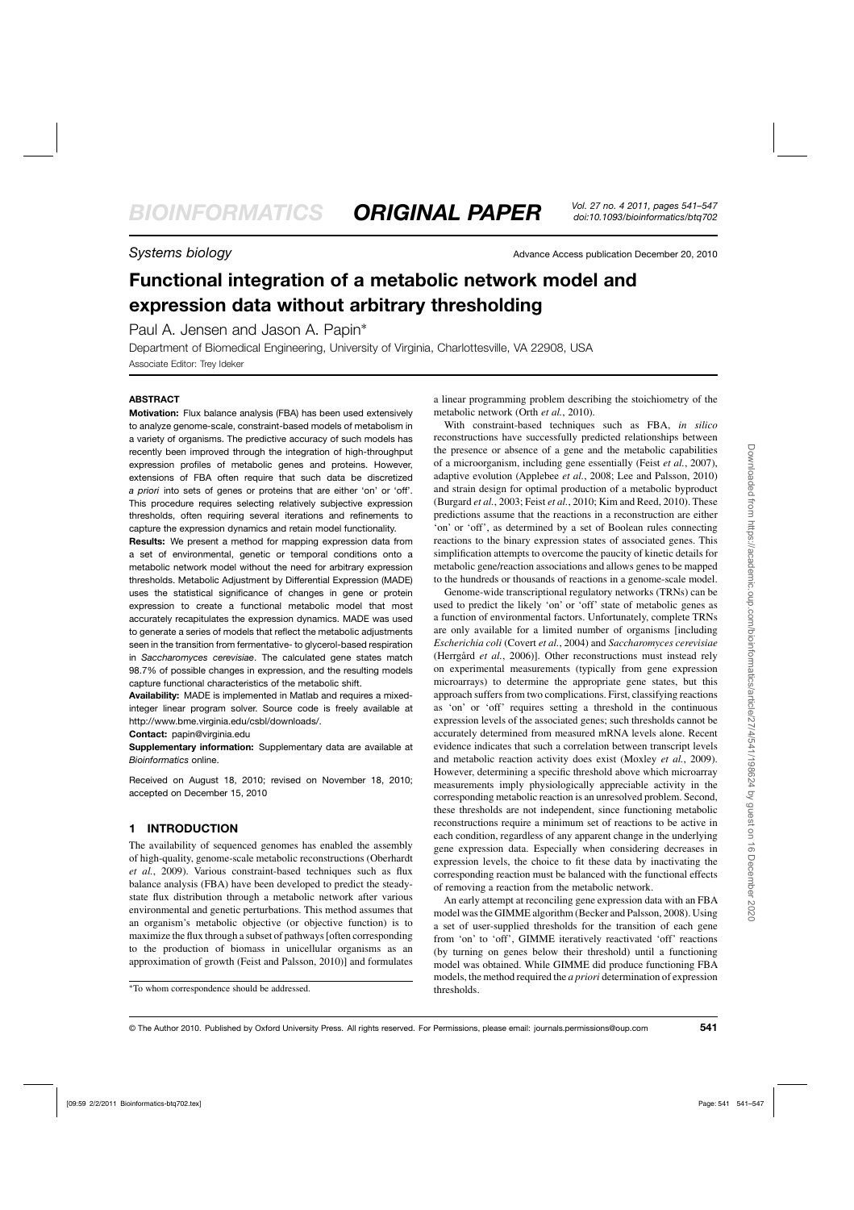# **Functional integration of a metabolic network model and expression data without arbitrary thresholding**

Paul A. Jensen and Jason A. Papin<sup>∗</sup>

Department of Biomedical Engineering, University of Virginia, Charlottesville, VA 22908, USA Associate Editor: Trey Ideker

# **ABSTRACT**

**Motivation:** Flux balance analysis (FBA) has been used extensively to analyze genome-scale, constraint-based models of metabolism in a variety of organisms. The predictive accuracy of such models has recently been improved through the integration of high-throughput expression profiles of metabolic genes and proteins. However, extensions of FBA often require that such data be discretized *a priori* into sets of genes or proteins that are either 'on' or 'off'. This procedure requires selecting relatively subjective expression thresholds, often requiring several iterations and refinements to capture the expression dynamics and retain model functionality.

**Results:** We present a method for mapping expression data from a set of environmental, genetic or temporal conditions onto a metabolic network model without the need for arbitrary expression thresholds. Metabolic Adjustment by Differential Expression (MADE) uses the statistical significance of changes in gene or protein expression to create a functional metabolic model that most accurately recapitulates the expression dynamics. MADE was used to generate a series of models that reflect the metabolic adjustments seen in the transition from fermentative- to glycerol-based respiration in *Saccharomyces cerevisiae*. The calculated gene states match 98.7% of possible changes in expression, and the resulting models capture functional characteristics of the metabolic shift.

**Availability:** MADE is implemented in Matlab and requires a mixedinteger linear program solver. Source code is freely available at http://www.bme.virginia.edu/csbl/downloads/.

#### **Contact:** papin@virginia.edu

**Supplementary information:** Supplementary data are available at *Bioinformatics* online.

Received on August 18, 2010; revised on November 18, 2010; accepted on December 15, 2010

# **1 INTRODUCTION**

The availability of sequenced genomes has enabled the assembly of high-quality, genome-scale metabolic reconstructions (Oberhardt *et al.*, 2009). Various constraint-based techniques such as flux balance analysis (FBA) have been developed to predict the steadystate flux distribution through a metabolic network after various environmental and genetic perturbations. This method assumes that an organism's metabolic objective (or objective function) is to maximize the flux through a subset of pathways [often corresponding to the production of biomass in unicellular organisms as an approximation of growth (Feist and Palsson, 2010)] and formulates a linear programming problem describing the stoichiometry of the metabolic network (Orth *et al.*, 2010).

With constraint-based techniques such as FBA, *in silico* reconstructions have successfully predicted relationships between the presence or absence of a gene and the metabolic capabilities of a microorganism, including gene essentially (Feist *et al.*, 2007), adaptive evolution (Applebee *et al.*, 2008; Lee and Palsson, 2010) and strain design for optimal production of a metabolic byproduct (Burgard *et al.*, 2003; Feist *et al.*, 2010; Kim and Reed, 2010). These predictions assume that the reactions in a reconstruction are either 'on' or 'off', as determined by a set of Boolean rules connecting reactions to the binary expression states of associated genes. This simplification attempts to overcome the paucity of kinetic details for metabolic gene/reaction associations and allows genes to be mapped to the hundreds or thousands of reactions in a genome-scale model.

Genome-wide transcriptional regulatory networks (TRNs) can be used to predict the likely 'on' or 'off' state of metabolic genes as a function of environmental factors. Unfortunately, complete TRNs are only available for a limited number of organisms [including *Escherichia coli* (Covert *et al.*, 2004) and *Saccharomyces cerevisiae* (Herrgård *et al.*, 2006)]. Other reconstructions must instead rely on experimental measurements (typically from gene expression microarrays) to determine the appropriate gene states, but this approach suffers from two complications. First, classifying reactions as 'on' or 'off' requires setting a threshold in the continuous expression levels of the associated genes; such thresholds cannot be accurately determined from measured mRNA levels alone. Recent evidence indicates that such a correlation between transcript levels and metabolic reaction activity does exist (Moxley *et al.*, 2009). However, determining a specific threshold above which microarray measurements imply physiologically appreciable activity in the corresponding metabolic reaction is an unresolved problem. Second, these thresholds are not independent, since functioning metabolic reconstructions require a minimum set of reactions to be active in each condition, regardless of any apparent change in the underlying gene expression data. Especially when considering decreases in expression levels, the choice to fit these data by inactivating the corresponding reaction must be balanced with the functional effects of removing a reaction from the metabolic network.

An early attempt at reconciling gene expression data with an FBA model was the GIMME algorithm (Becker and Palsson, 2008). Using a set of user-supplied thresholds for the transition of each gene from 'on' to 'off', GIMME iteratively reactivated 'off' reactions (by turning on genes below their threshold) until a functioning model was obtained. While GIMME did produce functioning FBA models, the method required the *a priori* determination of expression thresholds.

<sup>∗</sup>To whom correspondence should be addressed.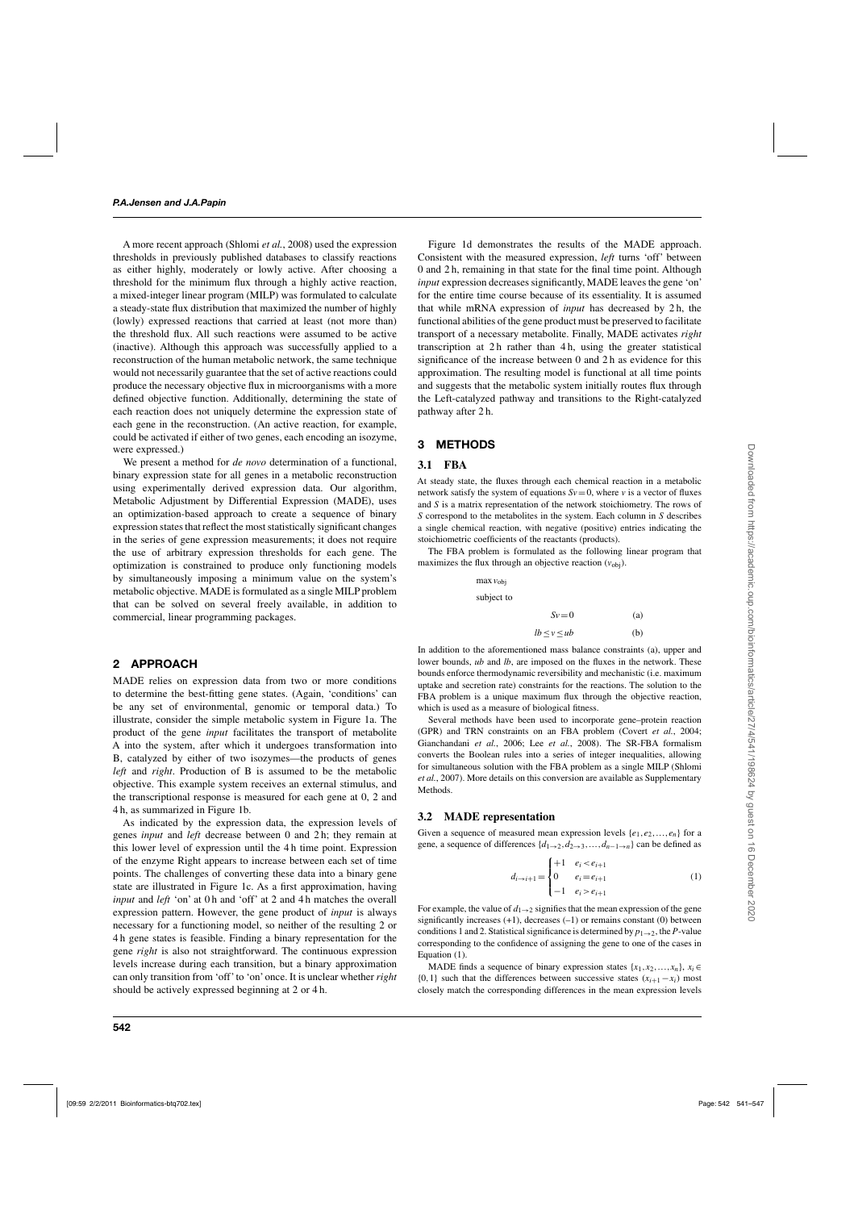A more recent approach (Shlomi *et al.*, 2008) used the expression thresholds in previously published databases to classify reactions as either highly, moderately or lowly active. After choosing a threshold for the minimum flux through a highly active reaction, a mixed-integer linear program (MILP) was formulated to calculate a steady-state flux distribution that maximized the number of highly (lowly) expressed reactions that carried at least (not more than) the threshold flux. All such reactions were assumed to be active (inactive). Although this approach was successfully applied to a reconstruction of the human metabolic network, the same technique would not necessarily guarantee that the set of active reactions could produce the necessary objective flux in microorganisms with a more defined objective function. Additionally, determining the state of each reaction does not uniquely determine the expression state of each gene in the reconstruction. (An active reaction, for example, could be activated if either of two genes, each encoding an isozyme, were expressed.)

We present a method for *de novo* determination of a functional, binary expression state for all genes in a metabolic reconstruction using experimentally derived expression data. Our algorithm, Metabolic Adjustment by Differential Expression (MADE), uses an optimization-based approach to create a sequence of binary expression states that reflect the most statistically significant changes in the series of gene expression measurements; it does not require the use of arbitrary expression thresholds for each gene. The optimization is constrained to produce only functioning models by simultaneously imposing a minimum value on the system's metabolic objective. MADE is formulated as a single MILP problem that can be solved on several freely available, in addition to commercial, linear programming packages.

# **2 APPROACH**

MADE relies on expression data from two or more conditions to determine the best-fitting gene states. (Again, 'conditions' can be any set of environmental, genomic or temporal data.) To illustrate, consider the simple metabolic system in Figure 1a. The product of the gene *input* facilitates the transport of metabolite A into the system, after which it undergoes transformation into B, catalyzed by either of two isozymes—the products of genes *left* and *right*. Production of B is assumed to be the metabolic objective. This example system receives an external stimulus, and the transcriptional response is measured for each gene at 0, 2 and 4 h, as summarized in Figure 1b.

As indicated by the expression data, the expression levels of genes *input* and *left* decrease between 0 and 2 h; they remain at this lower level of expression until the 4 h time point. Expression of the enzyme Right appears to increase between each set of time points. The challenges of converting these data into a binary gene state are illustrated in Figure 1c. As a first approximation, having *input* and *left* 'on' at 0 h and 'off' at 2 and 4 h matches the overall expression pattern. However, the gene product of *input* is always necessary for a functioning model, so neither of the resulting 2 or 4 h gene states is feasible. Finding a binary representation for the gene *right* is also not straightforward. The continuous expression levels increase during each transition, but a binary approximation can only transition from 'off'to 'on' once. It is unclear whether *right* should be actively expressed beginning at 2 or 4 h.

Figure 1d demonstrates the results of the MADE approach. Consistent with the measured expression, *left* turns 'off' between 0 and 2 h, remaining in that state for the final time point. Although *input* expression decreases significantly, MADE leaves the gene 'on' for the entire time course because of its essentiality. It is assumed that while mRNA expression of *input* has decreased by 2 h, the functional abilities of the gene product must be preserved to facilitate transport of a necessary metabolite. Finally, MADE activates *right* transcription at 2 h rather than 4 h, using the greater statistical significance of the increase between 0 and 2 h as evidence for this approximation. The resulting model is functional at all time points and suggests that the metabolic system initially routes flux through the Left-catalyzed pathway and transitions to the Right-catalyzed pathway after 2 h.

# **3 METHODS**

# **3.1 FBA**

At steady state, the fluxes through each chemical reaction in a metabolic network satisfy the system of equations  $Sv=0$ , where *v* is a vector of fluxes and *S* is a matrix representation of the network stoichiometry. The rows of *S* correspond to the metabolites in the system. Each column in *S* describes a single chemical reaction, with negative (positive) entries indicating the stoichiometric coefficients of the reactants (products).

The FBA problem is formulated as the following linear program that maximizes the flux through an objective reaction  $(v_{\text{obj}})$ .

| $max v_{obj}$ |             |     |
|---------------|-------------|-----|
| subject to    |             |     |
|               | $Sv=0$      | (a) |
|               | lb < v < ub | (b) |

In addition to the aforementioned mass balance constraints (a), upper and lower bounds, *ub* and *lb*, are imposed on the fluxes in the network. These bounds enforce thermodynamic reversibility and mechanistic (i.e. maximum uptake and secretion rate) constraints for the reactions. The solution to the FBA problem is a unique maximum flux through the objective reaction, which is used as a measure of biological fitness.

Several methods have been used to incorporate gene–protein reaction (GPR) and TRN constraints on an FBA problem (Covert *et al.*, 2004; Gianchandani *et al.*, 2006; Lee *et al.*, 2008). The SR-FBA formalism converts the Boolean rules into a series of integer inequalities, allowing for simultaneous solution with the FBA problem as a single MILP (Shlomi *et al.*, 2007). More details on this conversion are available as Supplementary Methods.

#### **3.2 MADE representation**

Given a sequence of measured mean expression levels  $\{e_1, e_2, \ldots, e_n\}$  for a gene, a sequence of differences  $\{d_{1\rightarrow 2}, d_{2\rightarrow 3},..., d_{n-1\rightarrow n}\}$  can be defined as

$$
d_{i \to i+1} = \begin{cases} +1 & e_i < e_{i+1} \\ 0 & e_i = e_{i+1} \\ -1 & e_i > e_{i+1} \end{cases}
$$
 (1)

For example, the value of  $d_{1\rightarrow 2}$  signifies that the mean expression of the gene significantly increases  $(+1)$ , decreases  $(-1)$  or remains constant  $(0)$  between conditions 1 and 2. Statistical significance is determined by  $p_{1\rightarrow 2}$ , the *P*-value corresponding to the confidence of assigning the gene to one of the cases in Equation (1).

MADE finds a sequence of binary expression states  $\{x_1, x_2, \ldots, x_n\}$ ,  $x_i \in$  ${0, 1}$  such that the differences between successive states  $(x_{i+1}-x_i)$  most closely match the corresponding differences in the mean expression levels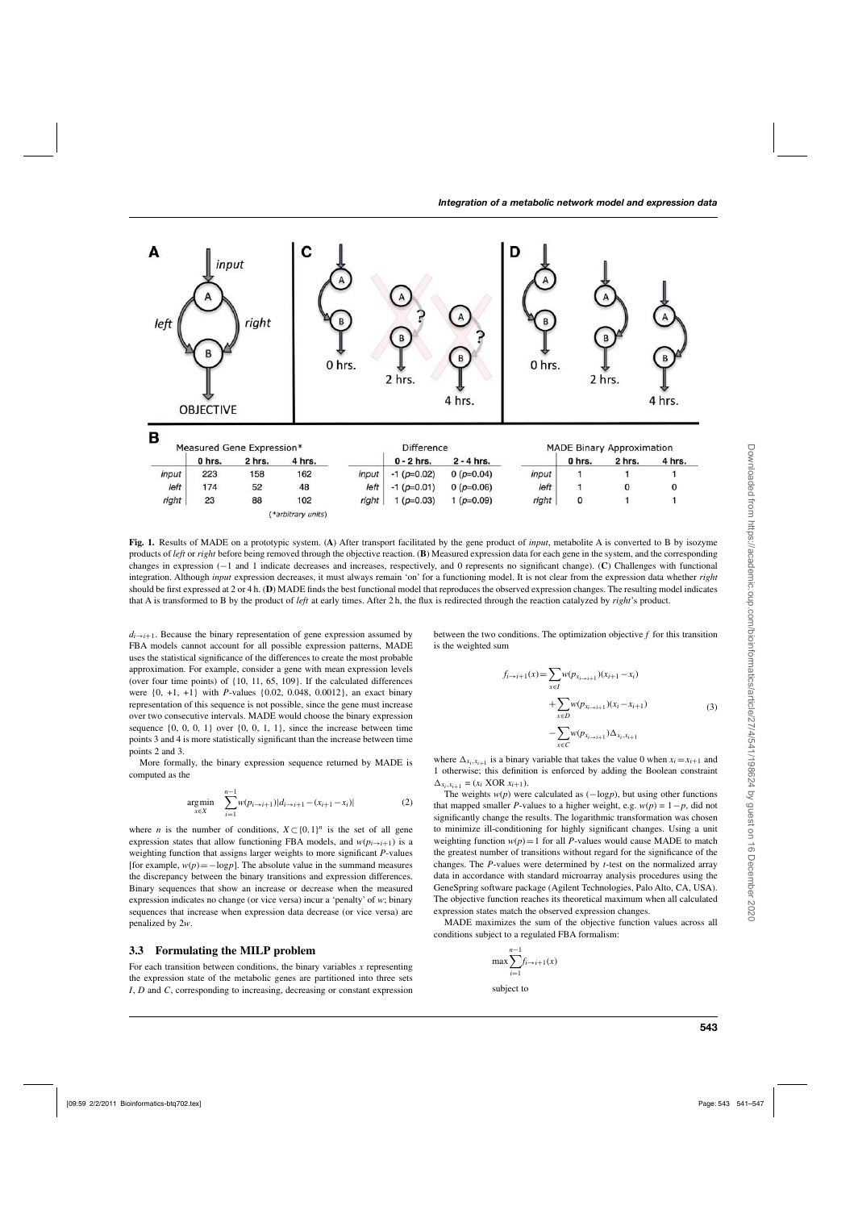

**Fig. 1.** Results of MADE on a prototypic system. (**A**) After transport facilitated by the gene product of *input*, metabolite A is converted to B by isozyme products of *left* or *right* before being removed through the objective reaction. (**B**) Measured expression data for each gene in the system, and the corresponding changes in expression (−1 and 1 indicate decreases and increases, respectively, and 0 represents no significant change). (**C**) Challenges with functional integration. Although *input* expression decreases, it must always remain 'on' for a functioning model. It is not clear from the expression data whether *right* should be first expressed at 2 or 4 h. (**D**) MADE finds the best functional model that reproduces the observed expression changes. The resulting model indicates that A is transformed to B by the product of *left* at early times. After 2 h, the flux is redirected through the reaction catalyzed by *right*'s product.

 $d_{i\rightarrow i+1}$ . Because the binary representation of gene expression assumed by FBA models cannot account for all possible expression patterns, MADE uses the statistical significance of the differences to create the most probable approximation. For example, consider a gene with mean expression levels (over four time points) of {10, 11, 65, 109}. If the calculated differences were {0, +1, +1} with *P*-values {0.02, 0.048, 0.0012}, an exact binary representation of this sequence is not possible, since the gene must increase over two consecutive intervals. MADE would choose the binary expression sequence  $\{0, 0, 0, 1\}$  over  $\{0, 0, 1, 1\}$ , since the increase between time points 3 and 4 is more statistically significant than the increase between time points 2 and 3.

More formally, the binary expression sequence returned by MADE is computed as the

$$
\underset{x \in X}{\text{argmin}} \quad \sum_{i=1}^{n-1} w(p_{i \to i+1}) |d_{i \to i+1} - (x_{i+1} - x_i)| \tag{2}
$$

where *n* is the number of conditions,  $X \subset \{0,1\}^n$  is the set of all gene expression states that allow functioning FBA models, and  $w(p_{i\rightarrow i+1})$  is a weighting function that assigns larger weights to more significant *P*-values [for example,  $w(p) = -\log p$ ]. The absolute value in the summand measures the discrepancy between the binary transitions and expression differences. Binary sequences that show an increase or decrease when the measured expression indicates no change (or vice versa) incur a 'penalty' of *w*; binary sequences that increase when expression data decrease (or vice versa) are penalized by 2*w*.

#### **3.3 Formulating the MILP problem**

For each transition between conditions, the binary variables  $x$  representing the expression state of the metabolic genes are partitioned into three sets *I*, *D* and *C*, corresponding to increasing, decreasing or constant expression between the two conditions. The optimization objective  $f$  for this transition is the weighted sum

$$
f_{i \to i+1}(x) = \sum_{x \in I} w(p_{x_{i \to i+1}})(x_{i+1} - x_i) + \sum_{x \in D} w(p_{x_{i \to i+1}})(x_i - x_{i+1})
$$
\n(3)

$$
-\sum_{x \in C} w(p_{x_{i \to i+1}}) \Delta_{x_i, x_{i+1}}
$$

where  $\Delta_{x_i, x_{i+1}}$  is a binary variable that takes the value 0 when  $x_i = x_{i+1}$  and 1 otherwise; this definition is enforced by adding the Boolean constraint  $\Delta_{x_i, x_{i+1}} = (x_i \text{ XOR } x_{i+1}).$ 

The weights  $w(p)$  were calculated as  $(-\log p)$ , but using other functions that mapped smaller *P*-values to a higher weight, e.g.  $w(p) = 1 - p$ , did not significantly change the results. The logarithmic transformation was chosen to minimize ill-conditioning for highly significant changes. Using a unit weighting function  $w(p) = 1$  for all *P*-values would cause MADE to match the greatest number of transitions without regard for the significance of the changes. The *P*-values were determined by *t*-test on the normalized array data in accordance with standard microarray analysis procedures using the GeneSpring software package (Agilent Technologies, Palo Alto, CA, USA). The objective function reaches its theoretical maximum when all calculated expression states match the observed expression changes.

MADE maximizes the sum of the objective function values across all conditions subject to a regulated FBA formalism:

$$
\max \sum_{i=1}^{n-1} f_{i \to i+1}(x)
$$

subject to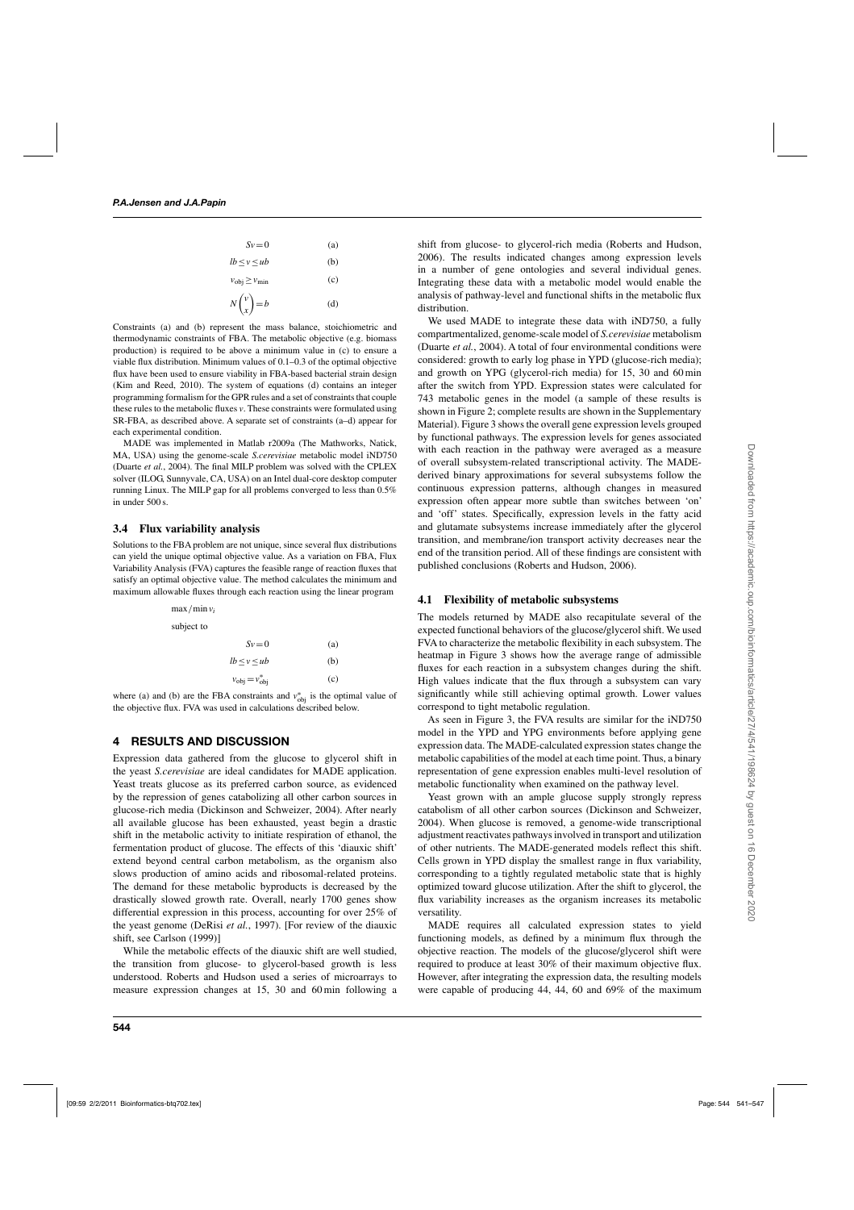| $Sv=0$                               | (a) |
|--------------------------------------|-----|
| lb < v < ub                          | (b) |
| $v_{\text{obj}} \geq v_{\text{min}}$ | (c) |
| $N\binom{v}{x} = b$                  | (d) |

Constraints (a) and (b) represent the mass balance, stoichiometric and thermodynamic constraints of FBA. The metabolic objective (e.g. biomass production) is required to be above a minimum value in (c) to ensure a viable flux distribution. Minimum values of 0.1–0.3 of the optimal objective flux have been used to ensure viability in FBA-based bacterial strain design (Kim and Reed, 2010). The system of equations (d) contains an integer programming formalism for the GPR rules and a set of constraints that couple these rules to the metabolic fluxes *v*. These constraints were formulated using SR-FBA, as described above. A separate set of constraints (a–d) appear for each experimental condition.

MADE was implemented in Matlab r2009a (The Mathworks, Natick, MA, USA) using the genome-scale *S.cerevisiae* metabolic model iND750 (Duarte *et al.*, 2004). The final MILP problem was solved with the CPLEX solver (ILOG, Sunnyvale, CA, USA) on an Intel dual-core desktop computer running Linux. The MILP gap for all problems converged to less than 0.5% in under 500 s.

# **3.4 Flux variability analysis**

Solutions to the FBA problem are not unique, since several flux distributions can yield the unique optimal objective value. As a variation on FBA, Flux Variability Analysis (FVA) captures the feasible range of reaction fluxes that satisfy an optimal objective value. The method calculates the minimum and maximum allowable fluxes through each reaction using the linear program

max/min *vi*

subject to  
\n
$$
Sv = 0
$$
\n(a)  
\n
$$
lb \le v \le ub
$$
\n(b)  
\n
$$
v_{\text{obj}} = v_{\text{obj}}^* \qquad \qquad (c)
$$

where (a) and (b) are the FBA constraints and  $v_{\text{obj}}^*$  is the optimal value of the objective flux. FVA was used in calculations described below.

# **4 RESULTS AND DISCUSSION**

Expression data gathered from the glucose to glycerol shift in the yeast *S.cerevisiae* are ideal candidates for MADE application. Yeast treats glucose as its preferred carbon source, as evidenced by the repression of genes catabolizing all other carbon sources in glucose-rich media (Dickinson and Schweizer, 2004). After nearly all available glucose has been exhausted, yeast begin a drastic shift in the metabolic activity to initiate respiration of ethanol, the fermentation product of glucose. The effects of this 'diauxic shift' extend beyond central carbon metabolism, as the organism also slows production of amino acids and ribosomal-related proteins. The demand for these metabolic byproducts is decreased by the drastically slowed growth rate. Overall, nearly 1700 genes show differential expression in this process, accounting for over 25% of the yeast genome (DeRisi *et al.*, 1997). [For review of the diauxic shift, see Carlson (1999)]

While the metabolic effects of the diauxic shift are well studied, the transition from glucose- to glycerol-based growth is less understood. Roberts and Hudson used a series of microarrays to measure expression changes at 15, 30 and 60 min following a shift from glucose- to glycerol-rich media (Roberts and Hudson, 2006). The results indicated changes among expression levels in a number of gene ontologies and several individual genes. Integrating these data with a metabolic model would enable the analysis of pathway-level and functional shifts in the metabolic flux distribution.

We used MADE to integrate these data with iND750, a fully compartmentalized, genome-scale model of *S.cerevisiae* metabolism (Duarte *et al.*, 2004). A total of four environmental conditions were considered: growth to early log phase in YPD (glucose-rich media); and growth on YPG (glycerol-rich media) for 15, 30 and 60 min after the switch from YPD. Expression states were calculated for 743 metabolic genes in the model (a sample of these results is shown in Figure 2; complete results are shown in the Supplementary Material). Figure 3 shows the overall gene expression levels grouped by functional pathways. The expression levels for genes associated with each reaction in the pathway were averaged as a measure of overall subsystem-related transcriptional activity. The MADEderived binary approximations for several subsystems follow the continuous expression patterns, although changes in measured expression often appear more subtle than switches between 'on' and 'off' states. Specifically, expression levels in the fatty acid and glutamate subsystems increase immediately after the glycerol transition, and membrane/ion transport activity decreases near the end of the transition period. All of these findings are consistent with published conclusions (Roberts and Hudson, 2006).

# **4.1 Flexibility of metabolic subsystems**

The models returned by MADE also recapitulate several of the expected functional behaviors of the glucose/glycerol shift. We used FVA to characterize the metabolic flexibility in each subsystem. The heatmap in Figure 3 shows how the average range of admissible fluxes for each reaction in a subsystem changes during the shift. High values indicate that the flux through a subsystem can vary significantly while still achieving optimal growth. Lower values correspond to tight metabolic regulation.

As seen in Figure 3, the FVA results are similar for the iND750 model in the YPD and YPG environments before applying gene expression data. The MADE-calculated expression states change the metabolic capabilities of the model at each time point. Thus, a binary representation of gene expression enables multi-level resolution of metabolic functionality when examined on the pathway level.

Yeast grown with an ample glucose supply strongly repress catabolism of all other carbon sources (Dickinson and Schweizer, 2004). When glucose is removed, a genome-wide transcriptional adjustment reactivates pathways involved in transport and utilization of other nutrients. The MADE-generated models reflect this shift. Cells grown in YPD display the smallest range in flux variability, corresponding to a tightly regulated metabolic state that is highly optimized toward glucose utilization. After the shift to glycerol, the flux variability increases as the organism increases its metabolic versatility.

MADE requires all calculated expression states to yield functioning models, as defined by a minimum flux through the objective reaction. The models of the glucose/glycerol shift were required to produce at least 30% of their maximum objective flux. However, after integrating the expression data, the resulting models were capable of producing 44, 44, 60 and 69% of the maximum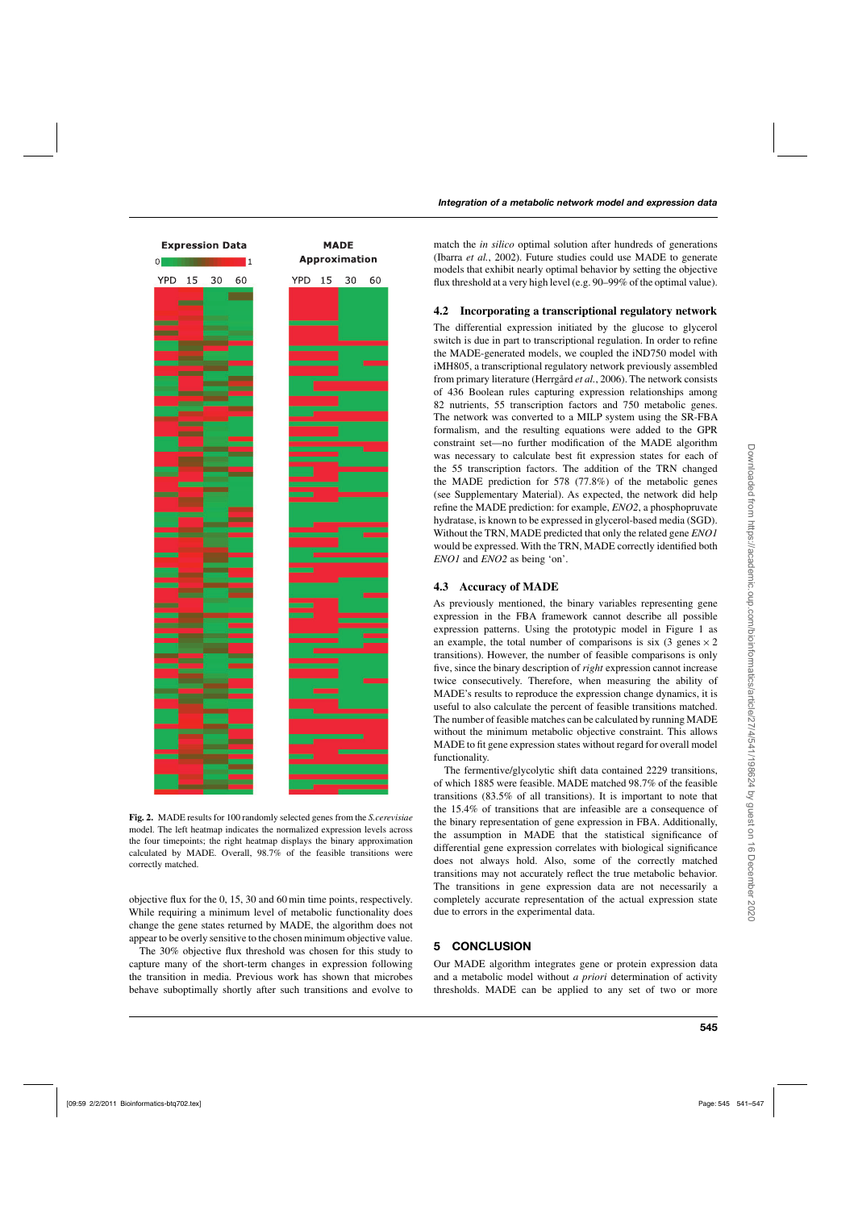

**Fig. 2.** MADE results for 100 randomly selected genes from the *S.cerevisiae* model. The left heatmap indicates the normalized expression levels across the four timepoints; the right heatmap displays the binary approximation calculated by MADE. Overall, 98.7% of the feasible transitions were correctly matched.

objective flux for the 0, 15, 30 and 60 min time points, respectively. While requiring a minimum level of metabolic functionality does change the gene states returned by MADE, the algorithm does not appear to be overly sensitive to the chosen minimum objective value.

The 30% objective flux threshold was chosen for this study to capture many of the short-term changes in expression following the transition in media. Previous work has shown that microbes behave suboptimally shortly after such transitions and evolve to match the *in silico* optimal solution after hundreds of generations (Ibarra *et al.*, 2002). Future studies could use MADE to generate models that exhibit nearly optimal behavior by setting the objective flux threshold at a very high level (e.g. 90–99% of the optimal value).

#### **4.2 Incorporating a transcriptional regulatory network**

The differential expression initiated by the glucose to glycerol switch is due in part to transcriptional regulation. In order to refine the MADE-generated models, we coupled the iND750 model with iMH805, a transcriptional regulatory network previously assembled from primary literature (Herrgård *et al.*, 2006). The network consists of 436 Boolean rules capturing expression relationships among 82 nutrients, 55 transcription factors and 750 metabolic genes. The network was converted to a MILP system using the SR-FBA formalism, and the resulting equations were added to the GPR constraint set—no further modification of the MADE algorithm was necessary to calculate best fit expression states for each of the 55 transcription factors. The addition of the TRN changed the MADE prediction for 578 (77.8%) of the metabolic genes (see Supplementary Material). As expected, the network did help refine the MADE prediction: for example, *ENO2*, a phosphopruvate hydratase, is known to be expressed in glycerol-based media (SGD). Without the TRN, MADE predicted that only the related gene *ENO1* would be expressed. With the TRN, MADE correctly identified both *ENO1* and *ENO2* as being 'on'.

### **4.3 Accuracy of MADE**

As previously mentioned, the binary variables representing gene expression in the FBA framework cannot describe all possible expression patterns. Using the prototypic model in Figure 1 as an example, the total number of comparisons is six  $(3 \text{ genes} \times 2)$ transitions). However, the number of feasible comparisons is only five, since the binary description of *right* expression cannot increase twice consecutively. Therefore, when measuring the ability of MADE's results to reproduce the expression change dynamics, it is useful to also calculate the percent of feasible transitions matched. The number of feasible matches can be calculated by running MADE without the minimum metabolic objective constraint. This allows MADE to fit gene expression states without regard for overall model functionality.

The fermentive/glycolytic shift data contained 2229 transitions, of which 1885 were feasible. MADE matched 98.7% of the feasible transitions (83.5% of all transitions). It is important to note that the 15.4% of transitions that are infeasible are a consequence of the binary representation of gene expression in FBA. Additionally, the assumption in MADE that the statistical significance of differential gene expression correlates with biological significance does not always hold. Also, some of the correctly matched transitions may not accurately reflect the true metabolic behavior. The transitions in gene expression data are not necessarily a completely accurate representation of the actual expression state due to errors in the experimental data.

# **5 CONCLUSION**

Our MADE algorithm integrates gene or protein expression data and a metabolic model without *a priori* determination of activity thresholds. MADE can be applied to any set of two or more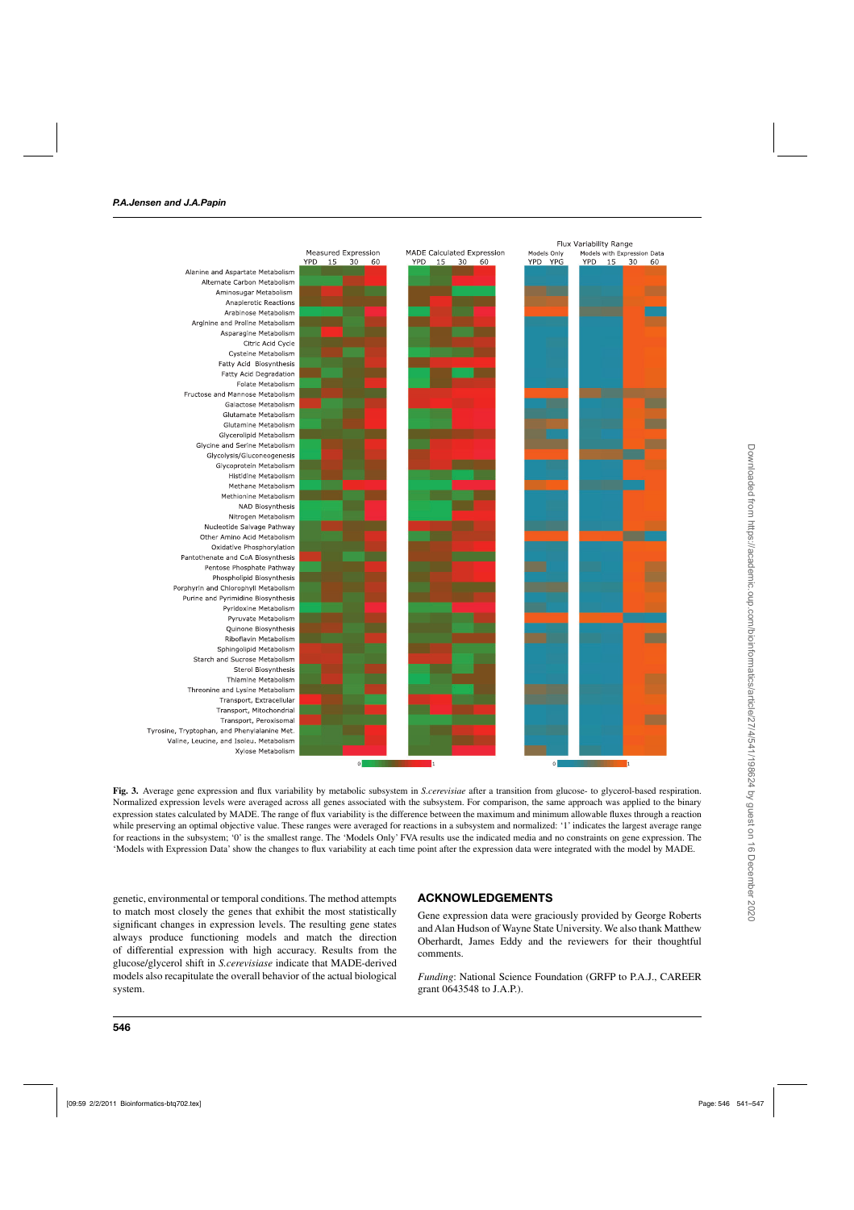

**Fig. 3.** Average gene expression and flux variability by metabolic subsystem in *S.cerevisiae* after a transition from glucose- to glycerol-based respiration. Normalized expression levels were averaged across all genes associated with the subsystem. For comparison, the same approach was applied to the binary expression states calculated by MADE. The range of flux variability is the difference between the maximum and minimum allowable fluxes through a reaction while preserving an optimal objective value. These ranges were averaged for reactions in a subsystem and normalized: '1' indicates the largest average range for reactions in the subsystem; '0' is the smallest range. The 'Models Only' FVA results use the indicated media and no constraints on gene expression. The 'Models with Expression Data' show the changes to flux variability at each time point after the expression data were integrated with the model by MADE.

genetic, environmental or temporal conditions. The method attempts to match most closely the genes that exhibit the most statistically significant changes in expression levels. The resulting gene states always produce functioning models and match the direction of differential expression with high accuracy. Results from the glucose/glycerol shift in *S.cerevisiase* indicate that MADE-derived models also recapitulate the overall behavior of the actual biological system.

# **ACKNOWLEDGEMENTS**

Gene expression data were graciously provided by George Roberts and Alan Hudson of Wayne State University. We also thank Matthew Oberhardt, James Eddy and the reviewers for their thoughtful comments.

*Funding*: National Science Foundation (GRFP to P.A.J., CAREER grant 0643548 to J.A.P.).